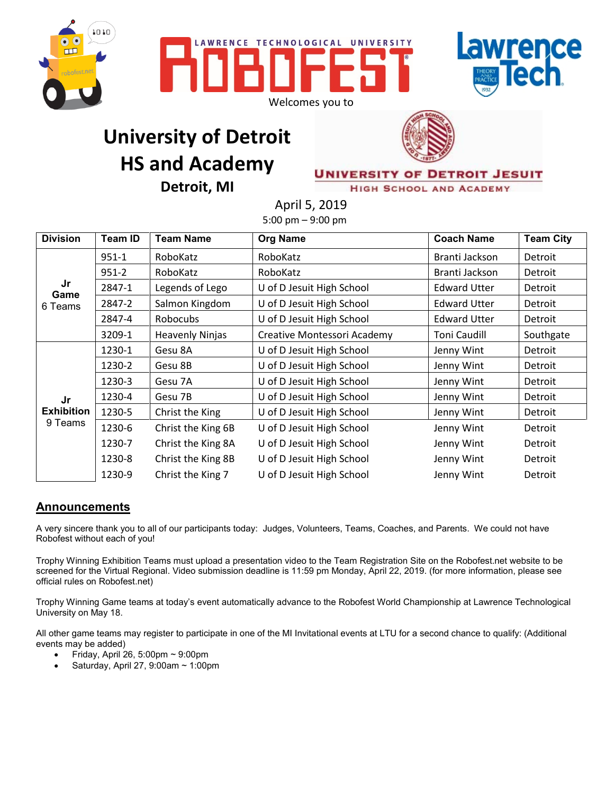





## **University of Detroit HS and Academy Detroit, MI**



**UNIVERSITY OF DETROIT JESUIT** 

**HIGH SCHOOL AND ACADEMY** 

April 5, 2019 5:00 pm – 9:00 pm

| <b>Division</b>                    | Team ID   | <b>Team Name</b>       | <b>Org Name</b>             | <b>Coach Name</b>   | <b>Team City</b> |
|------------------------------------|-----------|------------------------|-----------------------------|---------------------|------------------|
| Jr<br>Game<br>6 Teams              | $951 - 1$ | RoboKatz               | RoboKatz                    | Branti Jackson      | Detroit          |
|                                    | $951 - 2$ | RoboKatz               | RoboKatz                    | Branti Jackson      | Detroit          |
|                                    | 2847-1    | Legends of Lego        | U of D Jesuit High School   | <b>Edward Utter</b> | Detroit          |
|                                    | 2847-2    | Salmon Kingdom         | U of D Jesuit High School   | <b>Edward Utter</b> | Detroit          |
|                                    | 2847-4    | <b>Robocubs</b>        | U of D Jesuit High School   | <b>Edward Utter</b> | Detroit          |
|                                    | 3209-1    | <b>Heavenly Ninjas</b> | Creative Montessori Academy | <b>Toni Caudill</b> | Southgate        |
| Jr<br><b>Exhibition</b><br>9 Teams | 1230-1    | Gesu 8A                | U of D Jesuit High School   | Jenny Wint          | Detroit          |
|                                    | 1230-2    | Gesu 8B                | U of D Jesuit High School   | Jenny Wint          | Detroit          |
|                                    | 1230-3    | Gesu 7A                | U of D Jesuit High School   | Jenny Wint          | Detroit          |
|                                    | 1230-4    | Gesu 7B                | U of D Jesuit High School   | Jenny Wint          | Detroit          |
|                                    | 1230-5    | Christ the King        | U of D Jesuit High School   | Jenny Wint          | Detroit          |
|                                    | 1230-6    | Christ the King 6B     | U of D Jesuit High School   | Jenny Wint          | Detroit          |
|                                    | 1230-7    | Christ the King 8A     | U of D Jesuit High School   | Jenny Wint          | Detroit          |
|                                    | 1230-8    | Christ the King 8B     | U of D Jesuit High School   | Jenny Wint          | Detroit          |
|                                    | 1230-9    | Christ the King 7      | U of D Jesuit High School   | Jenny Wint          | Detroit          |

## **Announcements**

A very sincere thank you to all of our participants today: Judges, Volunteers, Teams, Coaches, and Parents. We could not have Robofest without each of you!

Trophy Winning Exhibition Teams must upload a presentation video to the Team Registration Site on the Robofest.net website to be screened for the Virtual Regional. Video submission deadline is 11:59 pm Monday, April 22, 2019. (for more information, please see official rules on Robofest.net)

Trophy Winning Game teams at today's event automatically advance to the Robofest World Championship at Lawrence Technological University on May 18.

All other game teams may register to participate in one of the MI Invitational events at LTU for a second chance to qualify: (Additional events may be added)

- Friday, April 26, 5:00pm  $\sim$  9:00pm
- Saturday, April 27, 9:00am ~ 1:00pm